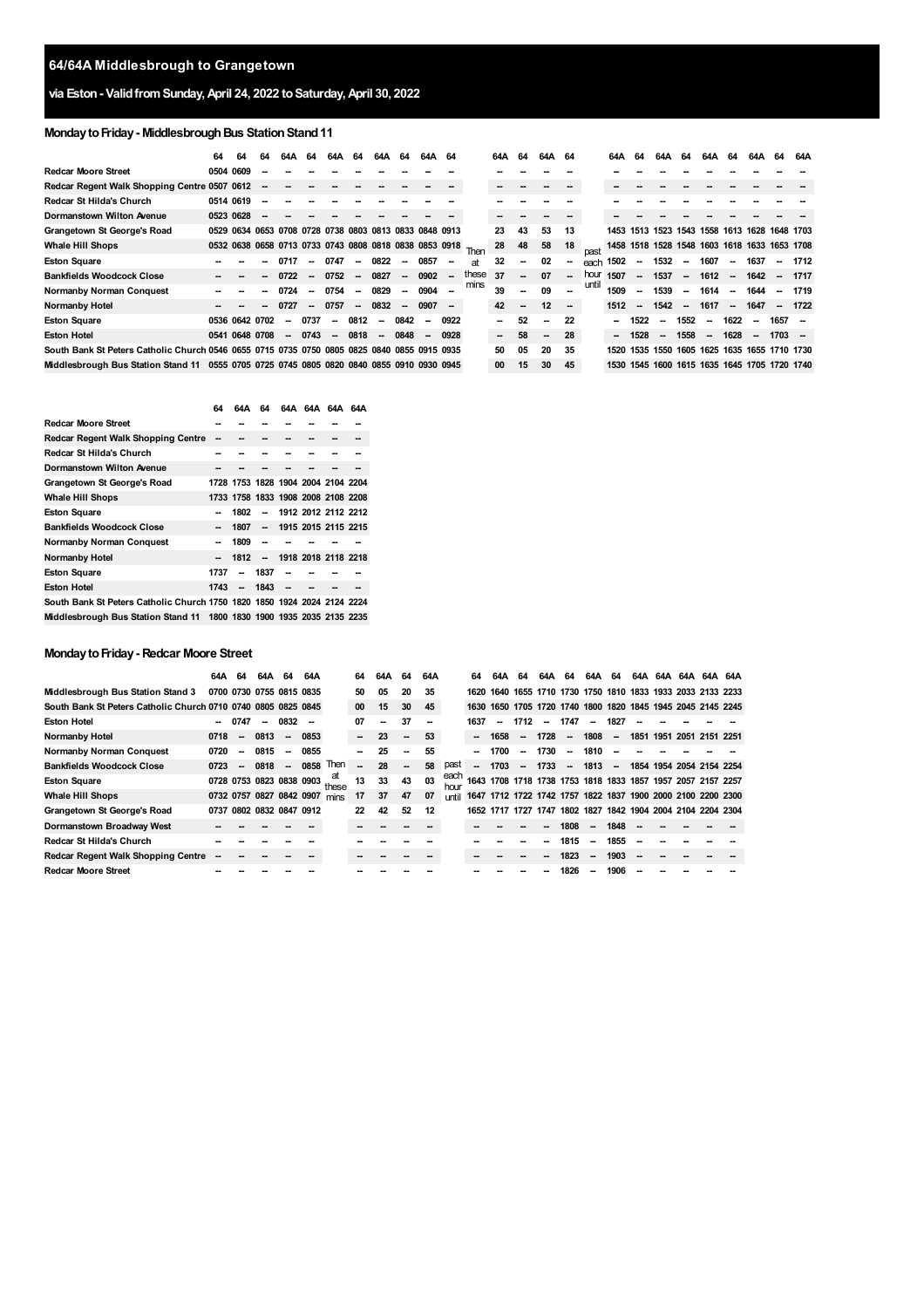# **via Eston- ValidfromSunday,April 24, 2022 toSaturday,April 30, 2022**

# **Monday to Friday - Middlesbrough Bus Station Stand 11**

|                                                                                             | 64 | 64                                                          | 64 | 64A    | 64                       | 64A                      | -64    | 64A    | 64     | 64A                      | 64     |       | 64A                      | 64                       | 64A 64                   |                          |       | 64A                                          | 64                       | 64A                      | 64                       | 64A      | 64     | 64A                                     | 64       | 64A     |
|---------------------------------------------------------------------------------------------|----|-------------------------------------------------------------|----|--------|--------------------------|--------------------------|--------|--------|--------|--------------------------|--------|-------|--------------------------|--------------------------|--------------------------|--------------------------|-------|----------------------------------------------|--------------------------|--------------------------|--------------------------|----------|--------|-----------------------------------------|----------|---------|
| <b>Redcar Moore Street</b>                                                                  |    | 0504 0609                                                   |    |        |                          |                          |        |        |        |                          |        |       |                          |                          |                          |                          |       |                                              |                          |                          |                          |          |        |                                         |          |         |
| Redcar Regent Walk Shopping Centre 0507 0612                                                |    |                                                             |    |        |                          |                          |        |        |        |                          |        |       |                          |                          |                          |                          |       |                                              |                          |                          |                          |          |        |                                         |          |         |
| Redcar St Hilda's Church                                                                    |    | 0514 0619                                                   |    |        |                          |                          |        |        |        |                          |        |       |                          |                          |                          |                          |       |                                              |                          |                          |                          |          |        |                                         |          |         |
| <b>Dormanstown Wilton Avenue</b>                                                            |    | 0523 0628                                                   |    |        |                          |                          |        |        |        |                          |        |       |                          |                          |                          |                          |       |                                              |                          |                          |                          |          |        |                                         |          |         |
| Grangetown St George's Road                                                                 |    | 0529 0634 0653 0708 0728 0738 0803 0813 0833 0848 0913      |    |        |                          |                          |        |        |        |                          |        |       | 23                       | 43                       | 53                       | 13                       |       | 1453                                         |                          |                          |                          |          |        | 1513 1523 1543 1558 1613 1628 1648 1703 |          |         |
| <b>Whale Hill Shops</b>                                                                     |    | 0532 0638 0658 0713 0733 0743 0808 0818 0838 0853 0918 Then |    |        |                          |                          |        |        |        |                          |        |       | 28                       | 48                       | 58                       | 18                       |       | 1458 1518 1528 1548 1603 1618 1633 1653 1708 |                          |                          |                          |          |        |                                         |          |         |
| <b>Eston Square</b>                                                                         |    |                                                             |    | 0717   | $\sim$                   | 0747                     | $\sim$ | 0822   | $\sim$ | 0857                     | $\sim$ | at    | 32                       | $\overline{\phantom{a}}$ | 02                       | --                       | each  | 1502                                         | $\sim$                   | 1532                     | $\overline{\phantom{a}}$ | 1607     |        | 1637                                    | --       | 1712    |
| <b>Bankfields Woodcock Close</b>                                                            |    |                                                             |    | 0722   |                          | 0752                     | $\sim$ | 0827   | $\sim$ | $0902 -$                 |        | these | 37                       | $\overline{\phantom{a}}$ | 07                       | $\sim$                   | hour  | 1507                                         | $\overline{\phantom{a}}$ | 1537                     | $\sim$                   | $1612 -$ |        | 1642                                    | $\sim$   | 1717    |
| <b>Normanby Norman Conquest</b>                                                             |    |                                                             |    | 0724   | $\overline{\phantom{a}}$ | 0754                     | $\sim$ | 0829   | $\sim$ | 0904                     | $\sim$ | mins  | 39                       | $\sim$                   | 09                       |                          | until | 1509                                         | $\overline{\phantom{a}}$ | 1539                     | $\overline{\phantom{a}}$ | 1614     | $\sim$ | 1644                                    |          | 1719    |
| <b>Normanby Hotel</b>                                                                       |    |                                                             |    | 0727   | $\sim$                   | 0757                     | $\sim$ | 0832   | $\sim$ | $0907 -$                 |        |       | 42                       | $\overline{\phantom{a}}$ | 12                       | $\overline{\phantom{a}}$ |       | 1512                                         | $\sim$                   | 1542                     | $\sim$                   | 1617     | $\sim$ | 1647                                    |          | $-1722$ |
| <b>Eston Square</b>                                                                         |    | 0536 0642 0702                                              |    | -      | 0737                     | $\overline{\phantom{a}}$ | 0812   | $\sim$ | 0842   | --                       | 0922   |       | $\sim$                   | 52                       | $\sim$                   | 22                       |       | --                                           | 1522                     | $\sim$                   | 1552                     | $\sim$   | 1622   | $\overline{\phantom{a}}$                | 1657     |         |
| <b>Eston Hotel</b>                                                                          |    | 0541 0648 0708                                              |    | $\sim$ | 0743                     | $\overline{\phantom{a}}$ | 0818   | $\sim$ | 0848   | $\overline{\phantom{a}}$ | 0928   |       | $\overline{\phantom{a}}$ | 58                       | $\overline{\phantom{a}}$ | 28                       |       | $\overline{\phantom{a}}$                     | 1528                     | $\overline{\phantom{a}}$ | 1558                     | $\sim$   | 1628   | $\overline{\phantom{a}}$                | $1703 -$ |         |
| South Bank St Peters Catholic Church 0546 0655 0715 0735 0750 0805 0825 0840 0855 0915 0935 |    |                                                             |    |        |                          |                          |        |        |        |                          |        |       | 50                       | 05                       | 20                       | 35                       |       | 1520                                         |                          |                          |                          |          |        | 1535 1550 1605 1625 1635 1655 1710 1730 |          |         |
| Middlesbrough Bus Station Stand 11 0555 0705 0725 0745 0805 0820 0840 0855 0910 0930 0945   |    |                                                             |    |        |                          |                          |        |        |        |                          |        |       | $00\,$                   | 15                       | 30                       | 45                       |       | 1530 1545 1600 1615 1635 1645 1705 1720 1740 |                          |                          |                          |          |        |                                         |          |         |

|                                                                         | 64                       | 64A                                | 64                       | 64A 64A 64A 64A     |  |
|-------------------------------------------------------------------------|--------------------------|------------------------------------|--------------------------|---------------------|--|
| <b>Redcar Moore Street</b>                                              |                          |                                    |                          |                     |  |
| <b>Redcar Regent Walk Shopping Centre</b>                               |                          |                                    |                          |                     |  |
| Redcar St Hilda's Church                                                |                          |                                    |                          |                     |  |
| Dormanstown Wilton Avenue                                               |                          |                                    |                          |                     |  |
| Grangetown St George's Road                                             |                          | 1728 1753 1828 1904 2004 2104 2204 |                          |                     |  |
| <b>Whale Hill Shops</b>                                                 |                          | 1733 1758 1833 1908 2008 2108 2208 |                          |                     |  |
| <b>Eston Square</b>                                                     |                          | 1802                               | $\overline{\phantom{a}}$ | 1912 2012 2112 2212 |  |
| <b>Bankfields Woodcock Close</b>                                        |                          | 1807                               | $\overline{\phantom{a}}$ | 1915 2015 2115 2215 |  |
| <b>Normanby Norman Conquest</b>                                         | $\overline{\phantom{a}}$ | 1809                               | $\overline{\phantom{a}}$ |                     |  |
| Normanby Hotel                                                          | $\overline{\phantom{a}}$ | 1812                               | $\overline{\phantom{a}}$ | 1918 2018 2118 2218 |  |
| <b>Eston Square</b>                                                     | 1737                     | $\overline{\phantom{a}}$           | 1837                     |                     |  |
| <b>Eston Hotel</b>                                                      | 1743                     | $\overline{\phantom{a}}$           | 1843                     |                     |  |
| South Bank St Peters Catholic Church 1750 1820 1850 1924 2024 2124 2224 |                          |                                    |                          |                     |  |
| Middlesbrough Bus Station Stand 11 1800 1830 1900 1935 2035 2135 2235   |                          |                                    |                          |                     |  |

#### **MondaytoFriday- Redcar Moore Street**

|                                                               | 64A  | 64                            | 64A                      | 64                       | 64A  |                                | 64                       | 64A | 64                       | 64A |              | 64   | 64A  | 64                       | 64A  | 64                       | 64A                      | 64                       | 64A                                                         | 64A 64A | 64A 64A |
|---------------------------------------------------------------|------|-------------------------------|--------------------------|--------------------------|------|--------------------------------|--------------------------|-----|--------------------------|-----|--------------|------|------|--------------------------|------|--------------------------|--------------------------|--------------------------|-------------------------------------------------------------|---------|---------|
| Middlesbrough Bus Station Stand 3                             |      | 0700 0730 0755 0815 0835      |                          |                          |      |                                | 50                       | 05  | 20                       | -35 |              | 1620 |      |                          |      |                          |                          |                          | 1640 1655 1710 1730 1750 1810 1833 1933 2033 2133 2233      |         |         |
| South Bank St Peters Catholic Church 0710 0740 0805 0825 0845 |      |                               |                          |                          |      |                                | 00                       | 15  | 30                       | 45  |              |      |      |                          |      |                          |                          |                          | 1630 1650 1705 1720 1740 1800 1820 1845 1945 2045 2145 2245 |         |         |
| <b>Eston Hotel</b>                                            |      | 0747                          | $\overline{\phantom{a}}$ | 0832                     |      |                                | 07                       | --  | 37                       | --  |              | 1637 | --   | 1712                     | --   | 1747                     | --                       | 1827                     |                                                             |         |         |
| <b>Normanby Hotel</b>                                         | 0718 | $\overline{\phantom{a}}$      | 0813                     | $\sim$                   | 0853 |                                | $\overline{\phantom{a}}$ | 23  | $\overline{\phantom{a}}$ | 53  |              |      | 1658 | $\overline{\phantom{a}}$ | 1728 | $\overline{\phantom{a}}$ | 1808                     | $\overline{\phantom{a}}$ | 1851 1951 2051 2151 2251                                    |         |         |
| <b>Normanby Norman Conquest</b>                               | 0720 | -                             | 0815                     | $\overline{\phantom{a}}$ | 0855 |                                |                          | 25  | $\overline{\phantom{a}}$ | 55  |              |      | 1700 | $\sim$                   | 1730 | $\overline{\phantom{a}}$ | 1810                     | --                       |                                                             |         |         |
| <b>Bankfields Woodcock Close</b>                              | 0723 | $\overline{\phantom{a}}$      | 0818                     | $\sim$                   | 0858 | Then                           |                          | 28  |                          | 58  | past         | ш.   | 1703 | $\overline{\phantom{a}}$ | 1733 | $\overline{\phantom{a}}$ | 1813                     | $\overline{\phantom{a}}$ | 1854 1954 2054 2154 2254                                    |         |         |
| <b>Eston Square</b>                                           |      |                               |                          |                          |      | 0728 0753 0823 0838 0903 these | 13                       | 33  | 43                       | 03  | each<br>hour |      |      |                          |      |                          |                          |                          | 1643 1708 1718 1738 1753 1818 1833 1857 1957 2057 2157 2257 |         |         |
| <b>Whale Hill Shops</b>                                       |      | 0732 0757 0827 0842 0907 mins |                          |                          |      |                                | 17                       | 37  | 47                       | 07  | until        |      |      |                          |      |                          |                          |                          | 1647 1712 1722 1742 1757 1822 1837 1900 2000 2100 2200 2300 |         |         |
| Grangetown St George's Road                                   | 0737 | 0802 0832 0847 0912           |                          |                          |      |                                | 22                       | 42  | 52                       | 12  |              |      |      |                          |      |                          |                          |                          | 1652 1717 1727 1747 1802 1827 1842 1904 2004 2104 2204 2304 |         |         |
| Dormanstown Broadway West                                     |      |                               |                          |                          |      |                                |                          |     |                          |     |              |      |      |                          |      | 1808                     | $\overline{\phantom{a}}$ | 1848                     |                                                             |         |         |
| Redcar St Hilda's Church                                      |      |                               |                          |                          |      |                                |                          |     |                          |     |              |      |      |                          |      | 1815                     | $\overline{\phantom{a}}$ | 1855                     | --                                                          |         |         |
| <b>Redcar Regent Walk Shopping Centre</b>                     |      |                               |                          |                          |      |                                |                          |     |                          |     |              |      |      |                          |      | 1823                     | $\overline{\phantom{a}}$ | 1903                     | --                                                          |         |         |
| <b>Redcar Moore Street</b>                                    |      |                               |                          |                          |      |                                |                          |     |                          |     |              |      |      |                          |      | 1826                     | $\sim$                   | 1906                     |                                                             |         |         |